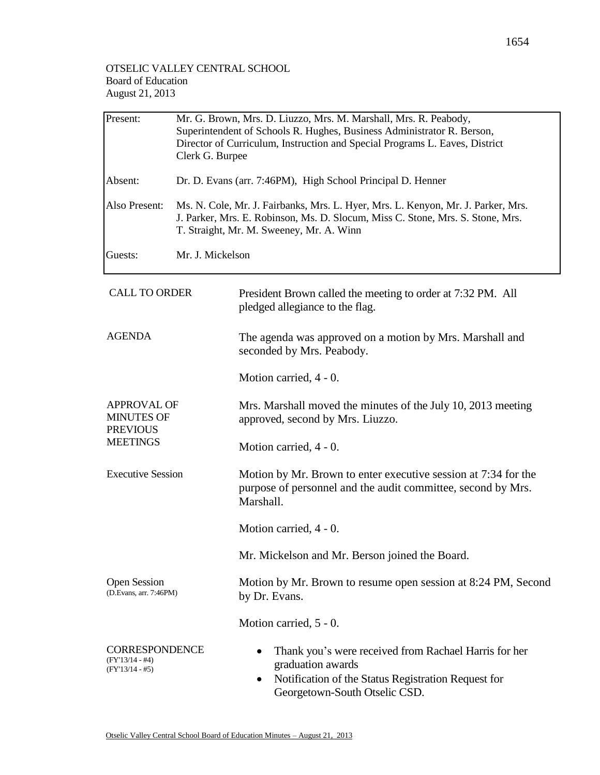| Present:                                                                      | Mr. G. Brown, Mrs. D. Liuzzo, Mrs. M. Marshall, Mrs. R. Peabody,<br>Superintendent of Schools R. Hughes, Business Administrator R. Berson,<br>Director of Curriculum, Instruction and Special Programs L. Eaves, District<br>Clerk G. Burpee |                                                                                                                                                                                 |  |  |  |
|-------------------------------------------------------------------------------|----------------------------------------------------------------------------------------------------------------------------------------------------------------------------------------------------------------------------------------------|---------------------------------------------------------------------------------------------------------------------------------------------------------------------------------|--|--|--|
| Absent:                                                                       | Dr. D. Evans (arr. 7:46PM), High School Principal D. Henner                                                                                                                                                                                  |                                                                                                                                                                                 |  |  |  |
| Also Present:                                                                 | Ms. N. Cole, Mr. J. Fairbanks, Mrs. L. Hyer, Mrs. L. Kenyon, Mr. J. Parker, Mrs.<br>J. Parker, Mrs. E. Robinson, Ms. D. Slocum, Miss C. Stone, Mrs. S. Stone, Mrs.<br>T. Straight, Mr. M. Sweeney, Mr. A. Winn                               |                                                                                                                                                                                 |  |  |  |
| Guests:                                                                       | Mr. J. Mickelson                                                                                                                                                                                                                             |                                                                                                                                                                                 |  |  |  |
| <b>CALL TO ORDER</b>                                                          |                                                                                                                                                                                                                                              | President Brown called the meeting to order at 7:32 PM. All<br>pledged allegiance to the flag.                                                                                  |  |  |  |
| <b>AGENDA</b>                                                                 |                                                                                                                                                                                                                                              | The agenda was approved on a motion by Mrs. Marshall and<br>seconded by Mrs. Peabody.                                                                                           |  |  |  |
|                                                                               |                                                                                                                                                                                                                                              | Motion carried, 4 - 0.                                                                                                                                                          |  |  |  |
| <b>APPROVAL OF</b><br><b>MINUTES OF</b><br><b>PREVIOUS</b><br><b>MEETINGS</b> |                                                                                                                                                                                                                                              | Mrs. Marshall moved the minutes of the July 10, 2013 meeting<br>approved, second by Mrs. Liuzzo.                                                                                |  |  |  |
|                                                                               |                                                                                                                                                                                                                                              | Motion carried, 4 - 0.                                                                                                                                                          |  |  |  |
| <b>Executive Session</b>                                                      |                                                                                                                                                                                                                                              | Motion by Mr. Brown to enter executive session at 7:34 for the<br>purpose of personnel and the audit committee, second by Mrs.<br>Marshall.                                     |  |  |  |
|                                                                               |                                                                                                                                                                                                                                              | Motion carried, 4 - 0.                                                                                                                                                          |  |  |  |
|                                                                               |                                                                                                                                                                                                                                              | Mr. Mickelson and Mr. Berson joined the Board.                                                                                                                                  |  |  |  |
| <b>Open Session</b><br>(D.Evans, arr. 7:46PM)                                 |                                                                                                                                                                                                                                              | Motion by Mr. Brown to resume open session at 8:24 PM, Second<br>by Dr. Evans.                                                                                                  |  |  |  |
|                                                                               |                                                                                                                                                                                                                                              | Motion carried, 5 - 0.                                                                                                                                                          |  |  |  |
| <b>CORRESPONDENCE</b><br>(FY'13/14 - #4)<br>(FY'13/14 - #5)                   |                                                                                                                                                                                                                                              | Thank you's were received from Rachael Harris for her<br>graduation awards<br>Notification of the Status Registration Request for<br>$\bullet$<br>Georgetown-South Otselic CSD. |  |  |  |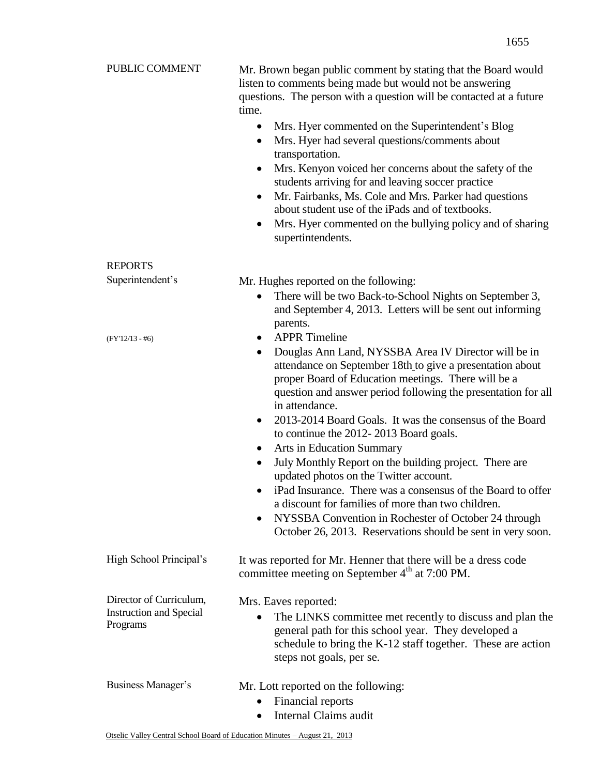| PUBLIC COMMENT                                                        | Mr. Brown began public comment by stating that the Board would<br>listen to comments being made but would not be answering<br>questions. The person with a question will be contacted at a future<br>time.<br>Mrs. Hyer commented on the Superintendent's Blog<br>$\bullet$<br>Mrs. Hyer had several questions/comments about<br>$\bullet$<br>transportation.<br>Mrs. Kenyon voiced her concerns about the safety of the<br>$\bullet$<br>students arriving for and leaving soccer practice<br>Mr. Fairbanks, Ms. Cole and Mrs. Parker had questions<br>$\bullet$<br>about student use of the iPads and of textbooks.<br>Mrs. Hyer commented on the bullying policy and of sharing<br>٠<br>supertintendents.                                                                                                                                        |
|-----------------------------------------------------------------------|----------------------------------------------------------------------------------------------------------------------------------------------------------------------------------------------------------------------------------------------------------------------------------------------------------------------------------------------------------------------------------------------------------------------------------------------------------------------------------------------------------------------------------------------------------------------------------------------------------------------------------------------------------------------------------------------------------------------------------------------------------------------------------------------------------------------------------------------------|
| <b>REPORTS</b>                                                        |                                                                                                                                                                                                                                                                                                                                                                                                                                                                                                                                                                                                                                                                                                                                                                                                                                                    |
| Superintendent's                                                      | Mr. Hughes reported on the following:<br>There will be two Back-to-School Nights on September 3,<br>٠<br>and September 4, 2013. Letters will be sent out informing                                                                                                                                                                                                                                                                                                                                                                                                                                                                                                                                                                                                                                                                                 |
| $(FY'12/13 - #6)$                                                     | parents.<br><b>APPR</b> Timeline<br>$\bullet$<br>Douglas Ann Land, NYSSBA Area IV Director will be in<br>٠<br>attendance on September 18th to give a presentation about<br>proper Board of Education meetings. There will be a<br>question and answer period following the presentation for all<br>in attendance.<br>2013-2014 Board Goals. It was the consensus of the Board<br>$\bullet$<br>to continue the 2012-2013 Board goals.<br><b>Arts in Education Summary</b><br>$\bullet$<br>July Monthly Report on the building project. There are<br>$\bullet$<br>updated photos on the Twitter account.<br>iPad Insurance. There was a consensus of the Board to offer<br>a discount for families of more than two children.<br>NYSSBA Convention in Rochester of October 24 through<br>October 26, 2013. Reservations should be sent in very soon. |
| High School Principal's                                               | It was reported for Mr. Henner that there will be a dress code<br>committee meeting on September $4th$ at 7:00 PM.                                                                                                                                                                                                                                                                                                                                                                                                                                                                                                                                                                                                                                                                                                                                 |
| Director of Curriculum,<br><b>Instruction and Special</b><br>Programs | Mrs. Eaves reported:<br>The LINKS committee met recently to discuss and plan the<br>general path for this school year. They developed a<br>schedule to bring the K-12 staff together. These are action<br>steps not goals, per se.                                                                                                                                                                                                                                                                                                                                                                                                                                                                                                                                                                                                                 |
| Business Manager's                                                    | Mr. Lott reported on the following:<br>Financial reports<br>Internal Claims audit                                                                                                                                                                                                                                                                                                                                                                                                                                                                                                                                                                                                                                                                                                                                                                  |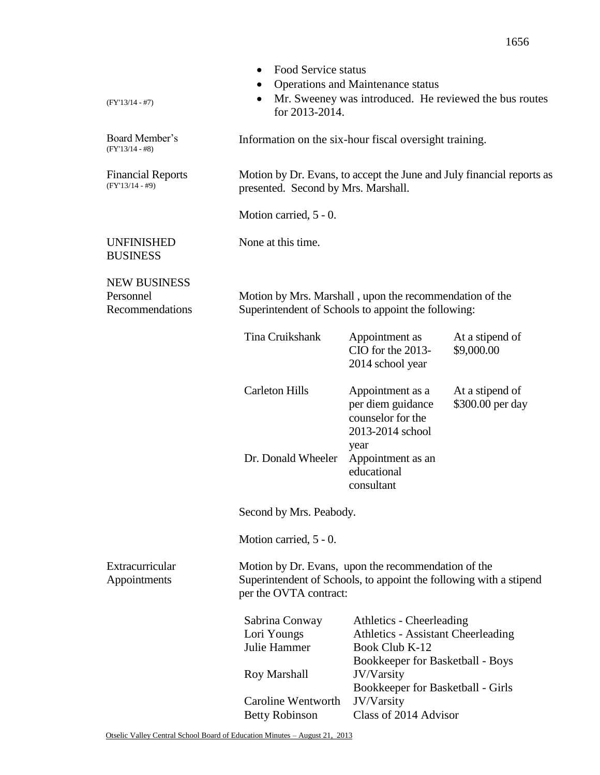|                                                     | Food Service status                                                                                                                                 |                                                                                        |                                                                       |
|-----------------------------------------------------|-----------------------------------------------------------------------------------------------------------------------------------------------------|----------------------------------------------------------------------------------------|-----------------------------------------------------------------------|
|                                                     |                                                                                                                                                     | Operations and Maintenance status                                                      |                                                                       |
| $(FY'13/14 - #7)$                                   | $\bullet$<br>for 2013-2014.                                                                                                                         |                                                                                        | Mr. Sweeney was introduced. He reviewed the bus routes                |
| Board Member's<br>$(FY'13/14 - #8)$                 | Information on the six-hour fiscal oversight training.                                                                                              |                                                                                        |                                                                       |
| <b>Financial Reports</b><br>$(FY'13/14 - #9)$       | presented. Second by Mrs. Marshall.                                                                                                                 |                                                                                        | Motion by Dr. Evans, to accept the June and July financial reports as |
|                                                     | Motion carried, 5 - 0.                                                                                                                              |                                                                                        |                                                                       |
| <b>UNFINISHED</b><br><b>BUSINESS</b>                | None at this time.                                                                                                                                  |                                                                                        |                                                                       |
| <b>NEW BUSINESS</b><br>Personnel<br>Recommendations | Motion by Mrs. Marshall, upon the recommendation of the<br>Superintendent of Schools to appoint the following:                                      |                                                                                        |                                                                       |
|                                                     | Tina Cruikshank                                                                                                                                     | Appointment as<br>CIO for the 2013-<br>2014 school year                                | At a stipend of<br>\$9,000.00                                         |
|                                                     | <b>Carleton Hills</b>                                                                                                                               | Appointment as a<br>per diem guidance<br>counselor for the<br>2013-2014 school<br>year | At a stipend of<br>\$300.00 per day                                   |
|                                                     | Dr. Donald Wheeler                                                                                                                                  | Appointment as an<br>educational<br>consultant                                         |                                                                       |
|                                                     | Second by Mrs. Peabody.                                                                                                                             |                                                                                        |                                                                       |
|                                                     | Motion carried, 5 - 0.                                                                                                                              |                                                                                        |                                                                       |
| Extracurricular<br>Appointments                     | Motion by Dr. Evans, upon the recommendation of the<br>Superintendent of Schools, to appoint the following with a stipend<br>per the OVTA contract: |                                                                                        |                                                                       |
|                                                     | Sabrina Conway                                                                                                                                      | Athletics - Cheerleading                                                               |                                                                       |
|                                                     | Lori Youngs                                                                                                                                         | <b>Athletics - Assistant Cheerleading</b>                                              |                                                                       |
|                                                     | Julie Hammer                                                                                                                                        | Book Club K-12<br>Bookkeeper for Basketball - Boys                                     |                                                                       |
|                                                     | Roy Marshall                                                                                                                                        | JV/Varsity<br>Bookkeeper for Basketball - Girls                                        |                                                                       |
|                                                     | Caroline Wentworth                                                                                                                                  | JV/Varsity                                                                             |                                                                       |
|                                                     | <b>Betty Robinson</b>                                                                                                                               | Class of 2014 Advisor                                                                  |                                                                       |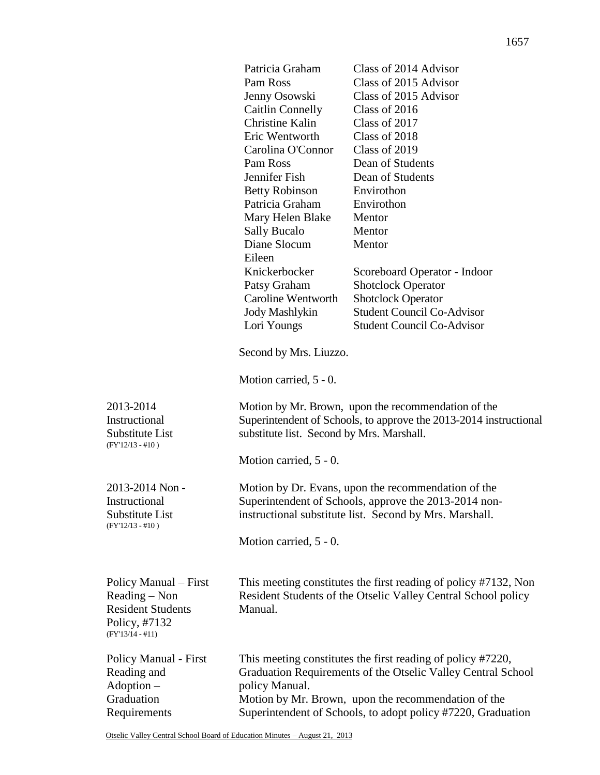|                                                                                                           | Patricia Graham<br>Pam Ross<br>Jenny Osowski<br>Caitlin Connelly<br><b>Christine Kalin</b><br>Eric Wentworth<br>Carolina O'Connor<br>Pam Ross<br>Jennifer Fish<br><b>Betty Robinson</b><br>Patricia Graham<br>Mary Helen Blake<br><b>Sally Bucalo</b><br>Diane Slocum<br>Eileen<br>Knickerbocker<br>Patsy Graham<br><b>Caroline Wentworth</b><br><b>Jody Mashlykin</b><br>Lori Youngs<br>Second by Mrs. Liuzzo.<br>Motion carried, 5 - 0. | Class of 2014 Advisor<br>Class of 2015 Advisor<br>Class of 2015 Advisor<br>Class of 2016<br>Class of 2017<br>Class of 2018<br>Class of 2019<br>Dean of Students<br>Dean of Students<br>Envirothon<br>Envirothon<br>Mentor<br>Mentor<br>Mentor<br>Scoreboard Operator - Indoor<br><b>Shotclock Operator</b><br><b>Shotclock Operator</b><br><b>Student Council Co-Advisor</b><br><b>Student Council Co-Advisor</b> |
|-----------------------------------------------------------------------------------------------------------|-------------------------------------------------------------------------------------------------------------------------------------------------------------------------------------------------------------------------------------------------------------------------------------------------------------------------------------------------------------------------------------------------------------------------------------------|-------------------------------------------------------------------------------------------------------------------------------------------------------------------------------------------------------------------------------------------------------------------------------------------------------------------------------------------------------------------------------------------------------------------|
| 2013-2014<br>Instructional<br>Substitute List<br>$(FY'12/13 - #10)$                                       | Motion by Mr. Brown, upon the recommendation of the<br>Superintendent of Schools, to approve the 2013-2014 instructional<br>substitute list. Second by Mrs. Marshall.                                                                                                                                                                                                                                                                     |                                                                                                                                                                                                                                                                                                                                                                                                                   |
|                                                                                                           | Motion carried, 5 - 0.                                                                                                                                                                                                                                                                                                                                                                                                                    |                                                                                                                                                                                                                                                                                                                                                                                                                   |
| 2013-2014 Non-<br>Instructional<br>Substitute List<br>$(FY'12/13 - #10)$                                  | Motion by Dr. Evans, upon the recommendation of the<br>Superintendent of Schools, approve the 2013-2014 non-<br>instructional substitute list. Second by Mrs. Marshall.<br>Motion carried, 5 - 0.                                                                                                                                                                                                                                         |                                                                                                                                                                                                                                                                                                                                                                                                                   |
| Policy Manual – First<br>Reading - Non<br><b>Resident Students</b><br>Policy, #7132<br>$(FY'13/14 - #11)$ | This meeting constitutes the first reading of policy #7132, Non<br>Resident Students of the Otselic Valley Central School policy<br>Manual.                                                                                                                                                                                                                                                                                               |                                                                                                                                                                                                                                                                                                                                                                                                                   |
| Policy Manual - First<br>Reading and<br>$Adoption -$<br>Graduation<br>Requirements                        | This meeting constitutes the first reading of policy #7220,<br>Graduation Requirements of the Otselic Valley Central School<br>policy Manual.<br>Motion by Mr. Brown, upon the recommendation of the<br>Superintendent of Schools, to adopt policy #7220, Graduation                                                                                                                                                                      |                                                                                                                                                                                                                                                                                                                                                                                                                   |

Otselic Valley Central School Board of Education Minutes – August 21, 2013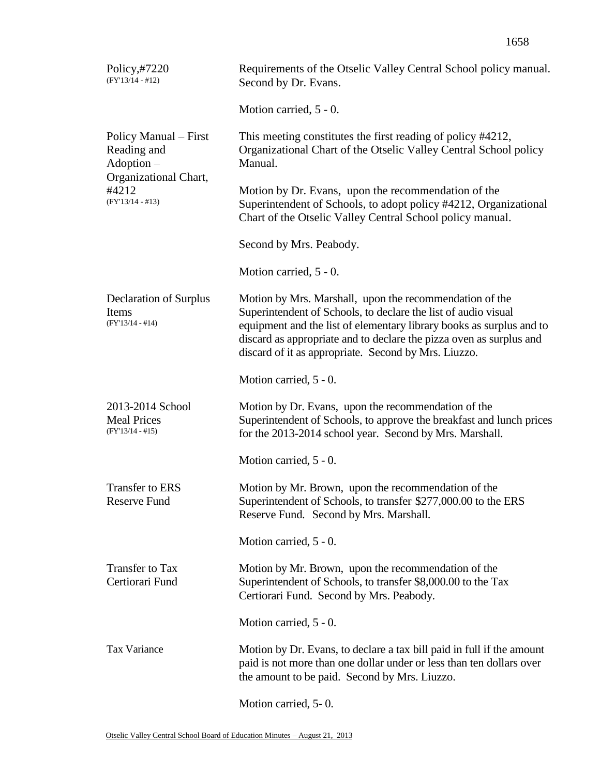| Policy,#7220<br>$(FY'13/14 - #12)$                           | Requirements of the Otselic Valley Central School policy manual.<br>Second by Dr. Evans.                                                                                                                                                                                                                                         |
|--------------------------------------------------------------|----------------------------------------------------------------------------------------------------------------------------------------------------------------------------------------------------------------------------------------------------------------------------------------------------------------------------------|
|                                                              | Motion carried, 5 - 0.                                                                                                                                                                                                                                                                                                           |
| Policy Manual – First<br>Reading and<br>$Adoption -$         | This meeting constitutes the first reading of policy #4212,<br>Organizational Chart of the Otselic Valley Central School policy<br>Manual.                                                                                                                                                                                       |
| Organizational Chart,<br>#4212<br>$(FY'13/14 - #13)$         | Motion by Dr. Evans, upon the recommendation of the<br>Superintendent of Schools, to adopt policy #4212, Organizational<br>Chart of the Otselic Valley Central School policy manual.                                                                                                                                             |
|                                                              | Second by Mrs. Peabody.                                                                                                                                                                                                                                                                                                          |
|                                                              | Motion carried, 5 - 0.                                                                                                                                                                                                                                                                                                           |
| Declaration of Surplus<br>Items<br>$(FY'13/14 - #14)$        | Motion by Mrs. Marshall, upon the recommendation of the<br>Superintendent of Schools, to declare the list of audio visual<br>equipment and the list of elementary library books as surplus and to<br>discard as appropriate and to declare the pizza oven as surplus and<br>discard of it as appropriate. Second by Mrs. Liuzzo. |
|                                                              | Motion carried, 5 - 0.                                                                                                                                                                                                                                                                                                           |
| 2013-2014 School<br><b>Meal Prices</b><br>$(FY'13/14 - #15)$ | Motion by Dr. Evans, upon the recommendation of the<br>Superintendent of Schools, to approve the breakfast and lunch prices<br>for the 2013-2014 school year. Second by Mrs. Marshall.                                                                                                                                           |
|                                                              | Motion carried, 5 - 0.                                                                                                                                                                                                                                                                                                           |
| Transfer to ERS<br>Reserve Fund                              | Motion by Mr. Brown, upon the recommendation of the<br>Superintendent of Schools, to transfer \$277,000.00 to the ERS<br>Reserve Fund. Second by Mrs. Marshall.                                                                                                                                                                  |
|                                                              | Motion carried, 5 - 0.                                                                                                                                                                                                                                                                                                           |
| <b>Transfer to Tax</b><br>Certiorari Fund                    | Motion by Mr. Brown, upon the recommendation of the<br>Superintendent of Schools, to transfer \$8,000.00 to the Tax<br>Certiorari Fund. Second by Mrs. Peabody.                                                                                                                                                                  |
|                                                              | Motion carried, 5 - 0.                                                                                                                                                                                                                                                                                                           |
| <b>Tax Variance</b>                                          | Motion by Dr. Evans, to declare a tax bill paid in full if the amount<br>paid is not more than one dollar under or less than ten dollars over<br>the amount to be paid. Second by Mrs. Liuzzo.                                                                                                                                   |
|                                                              | $Motion$ again $\sim 0$                                                                                                                                                                                                                                                                                                          |

Motion carried, 5- 0.